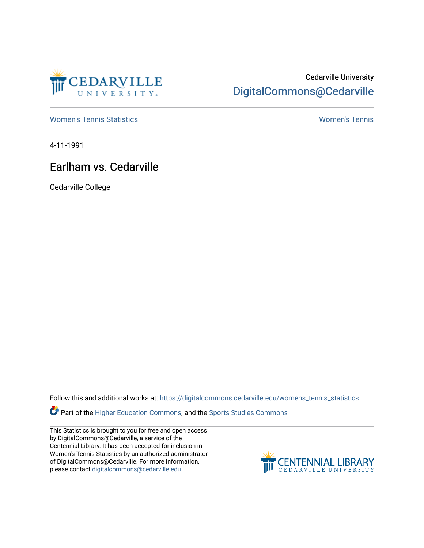

## Cedarville University [DigitalCommons@Cedarville](https://digitalcommons.cedarville.edu/)

[Women's Tennis Statistics](https://digitalcommons.cedarville.edu/womens_tennis_statistics) [Women's Tennis](https://digitalcommons.cedarville.edu/womens_tennis) 

4-11-1991

## Earlham vs. Cedarville

Cedarville College

Follow this and additional works at: [https://digitalcommons.cedarville.edu/womens\\_tennis\\_statistics](https://digitalcommons.cedarville.edu/womens_tennis_statistics?utm_source=digitalcommons.cedarville.edu%2Fwomens_tennis_statistics%2F124&utm_medium=PDF&utm_campaign=PDFCoverPages) 

Part of the [Higher Education Commons,](http://network.bepress.com/hgg/discipline/1245?utm_source=digitalcommons.cedarville.edu%2Fwomens_tennis_statistics%2F124&utm_medium=PDF&utm_campaign=PDFCoverPages) and the [Sports Studies Commons](http://network.bepress.com/hgg/discipline/1198?utm_source=digitalcommons.cedarville.edu%2Fwomens_tennis_statistics%2F124&utm_medium=PDF&utm_campaign=PDFCoverPages) 

This Statistics is brought to you for free and open access by DigitalCommons@Cedarville, a service of the Centennial Library. It has been accepted for inclusion in Women's Tennis Statistics by an authorized administrator of DigitalCommons@Cedarville. For more information, please contact [digitalcommons@cedarville.edu](mailto:digitalcommons@cedarville.edu).